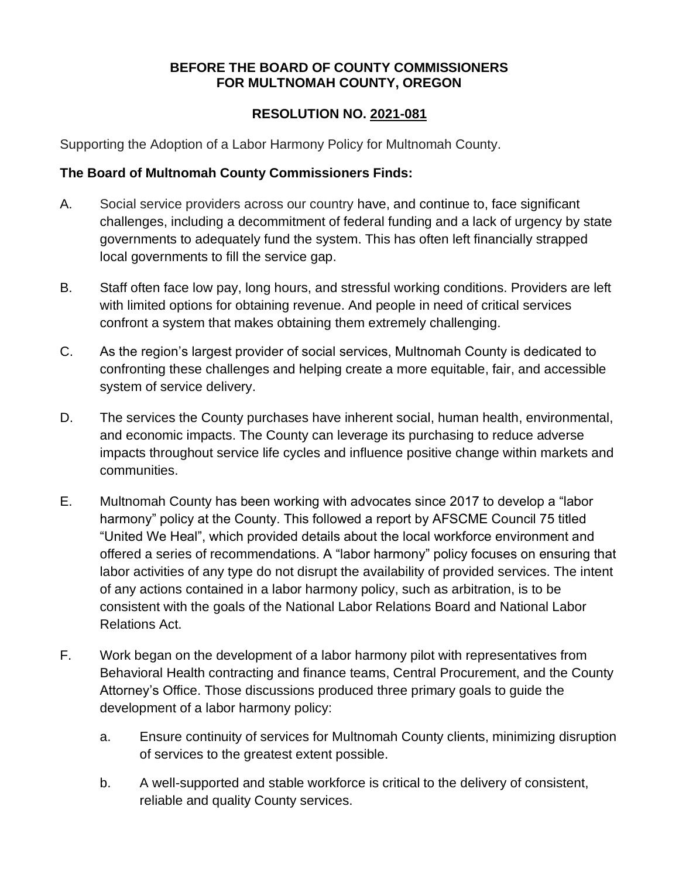#### **BEFORE THE BOARD OF COUNTY COMMISSIONERS FOR MULTNOMAH COUNTY, OREGON**

#### **RESOLUTION NO. 2021-081**

Supporting the Adoption of a Labor Harmony Policy for Multnomah County.

#### **The Board of Multnomah County Commissioners Finds:**

- A. Social service providers across our country have, and continue to, face significant challenges, including a decommitment of federal funding and a lack of urgency by state governments to adequately fund the system. This has often left financially strapped local governments to fill the service gap.
- B. Staff often face low pay, long hours, and stressful working conditions. Providers are left with limited options for obtaining revenue. And people in need of critical services confront a system that makes obtaining them extremely challenging.
- C. As the region's largest provider of social services, Multnomah County is dedicated to confronting these challenges and helping create a more equitable, fair, and accessible system of service delivery.
- D. The services the County purchases have inherent social, human health, environmental, and economic impacts. The County can leverage its purchasing to reduce adverse impacts throughout service life cycles and influence positive change within markets and communities.
- E. Multnomah County has been working with advocates since 2017 to develop a "labor harmony" policy at the County. This followed a report by AFSCME Council 75 titled "United We Heal", which provided details about the local workforce environment and offered a series of recommendations. A "labor harmony" policy focuses on ensuring that labor activities of any type do not disrupt the availability of provided services. The intent of any actions contained in a labor harmony policy, such as arbitration, is to be consistent with the goals of the National Labor Relations Board and National Labor Relations Act.
- F. Work began on the development of a labor harmony pilot with representatives from Behavioral Health contracting and finance teams, Central Procurement, and the County Attorney's Office. Those discussions produced three primary goals to guide the development of a labor harmony policy:
	- a. Ensure continuity of services for Multnomah County clients, minimizing disruption of services to the greatest extent possible.
	- b. A well-supported and stable workforce is critical to the delivery of consistent, reliable and quality County services.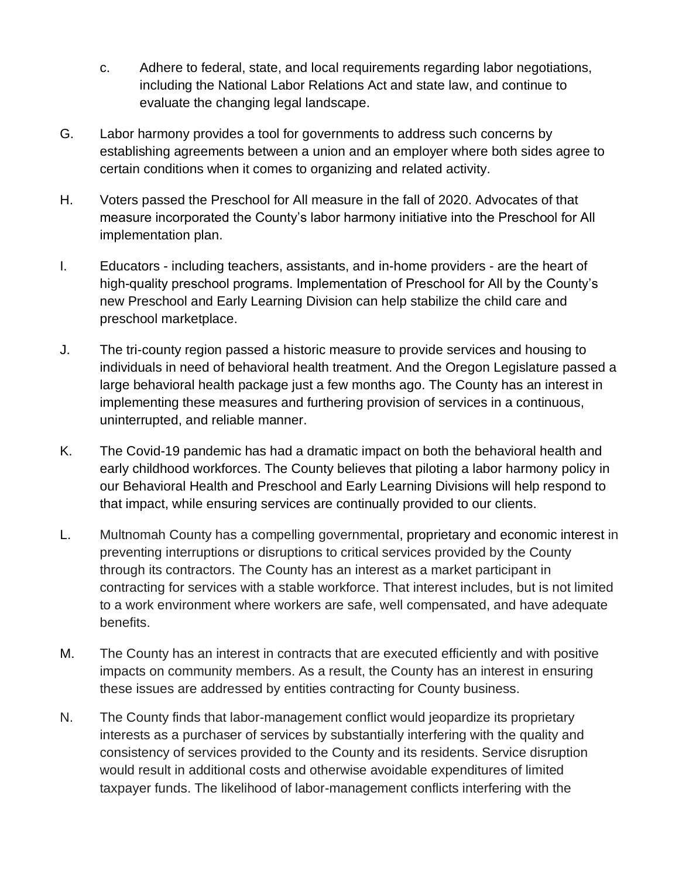- c. Adhere to federal, state, and local requirements regarding labor negotiations, including the National Labor Relations Act and state law, and continue to evaluate the changing legal landscape.
- G. Labor harmony provides a tool for governments to address such concerns by establishing agreements between a union and an employer where both sides agree to certain conditions when it comes to organizing and related activity.
- H. Voters passed the Preschool for All measure in the fall of 2020. Advocates of that measure incorporated the County's labor harmony initiative into the Preschool for All implementation plan.
- I. Educators including teachers, assistants, and in-home providers are the heart of high-quality preschool programs. Implementation of Preschool for All by the County's new Preschool and Early Learning Division can help stabilize the child care and preschool marketplace.
- J. The tri-county region passed a historic measure to provide services and housing to individuals in need of behavioral health treatment. And the Oregon Legislature passed a large behavioral health package just a few months ago. The County has an interest in implementing these measures and furthering provision of services in a continuous, uninterrupted, and reliable manner.
- K. The Covid-19 pandemic has had a dramatic impact on both the behavioral health and early childhood workforces. The County believes that piloting a labor harmony policy in our Behavioral Health and Preschool and Early Learning Divisions will help respond to that impact, while ensuring services are continually provided to our clients.
- L. Multnomah County has a compelling governmental, proprietary and economic interest in preventing interruptions or disruptions to critical services provided by the County through its contractors. The County has an interest as a market participant in contracting for services with a stable workforce. That interest includes, but is not limited to a work environment where workers are safe, well compensated, and have adequate benefits.
- M. The County has an interest in contracts that are executed efficiently and with positive impacts on community members. As a result, the County has an interest in ensuring these issues are addressed by entities contracting for County business.
- N. The County finds that labor-management conflict would jeopardize its proprietary interests as a purchaser of services by substantially interfering with the quality and consistency of services provided to the County and its residents. Service disruption would result in additional costs and otherwise avoidable expenditures of limited taxpayer funds. The likelihood of labor-management conflicts interfering with the